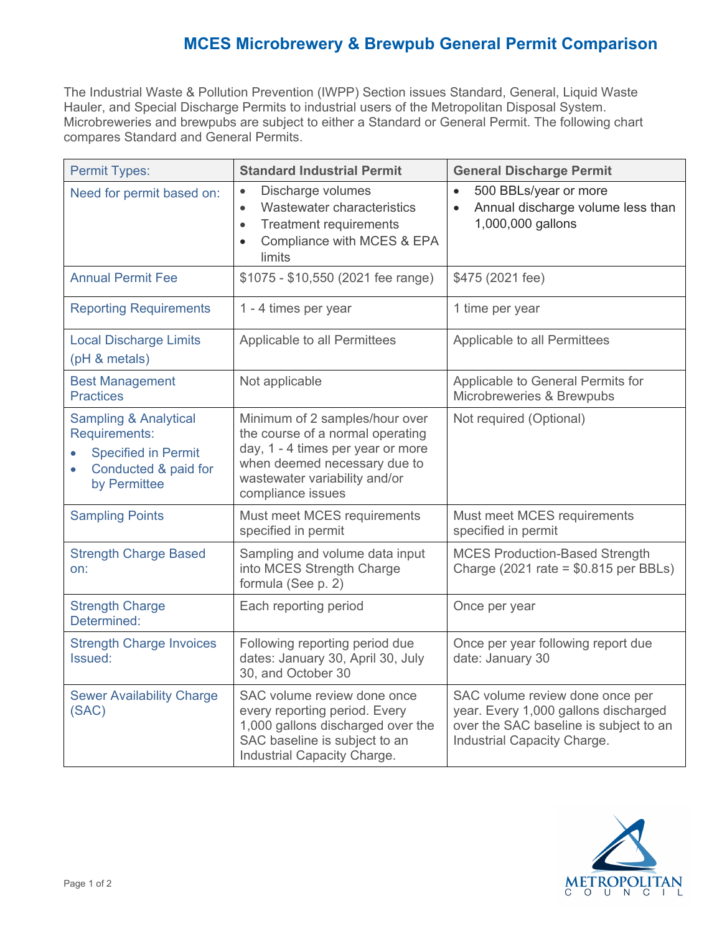## **MCES Microbrewery & Brewpub General Permit Comparison**

The Industrial Waste & Pollution Prevention (IWPP) Section issues Standard, General, Liquid Waste Hauler, and Special Discharge Permits to industrial users of the Metropolitan Disposal System. Microbreweries and brewpubs are subject to either a Standard or General Permit. The following chart compares Standard and General Permits.

| <b>Permit Types:</b>                                                                                                                 | <b>Standard Industrial Permit</b>                                                                                                                                                             | <b>General Discharge Permit</b>                                                                                                                  |
|--------------------------------------------------------------------------------------------------------------------------------------|-----------------------------------------------------------------------------------------------------------------------------------------------------------------------------------------------|--------------------------------------------------------------------------------------------------------------------------------------------------|
| Need for permit based on:                                                                                                            | Discharge volumes<br>$\bullet$<br>Wastewater characteristics<br>$\bullet$<br><b>Treatment requirements</b><br>$\bullet$<br>Compliance with MCES & EPA<br>$\bullet$<br>limits                  | 500 BBLs/year or more<br>$\bullet$<br>Annual discharge volume less than<br>$\bullet$<br>1,000,000 gallons                                        |
| <b>Annual Permit Fee</b>                                                                                                             | \$1075 - \$10,550 (2021 fee range)                                                                                                                                                            | \$475 (2021 fee)                                                                                                                                 |
| <b>Reporting Requirements</b>                                                                                                        | 1 - 4 times per year                                                                                                                                                                          | 1 time per year                                                                                                                                  |
| <b>Local Discharge Limits</b><br>(pH & metals)                                                                                       | Applicable to all Permittees                                                                                                                                                                  | Applicable to all Permittees                                                                                                                     |
| <b>Best Management</b><br><b>Practices</b>                                                                                           | Not applicable                                                                                                                                                                                | Applicable to General Permits for<br>Microbreweries & Brewpubs                                                                                   |
| <b>Sampling &amp; Analytical</b><br>Requirements:<br><b>Specified in Permit</b><br>Conducted & paid for<br>$\bullet$<br>by Permittee | Minimum of 2 samples/hour over<br>the course of a normal operating<br>day, 1 - 4 times per year or more<br>when deemed necessary due to<br>wastewater variability and/or<br>compliance issues | Not required (Optional)                                                                                                                          |
| <b>Sampling Points</b>                                                                                                               | Must meet MCES requirements<br>specified in permit                                                                                                                                            | Must meet MCES requirements<br>specified in permit                                                                                               |
| <b>Strength Charge Based</b><br>on:                                                                                                  | Sampling and volume data input<br>into MCES Strength Charge<br>formula (See p. 2)                                                                                                             | <b>MCES Production-Based Strength</b><br>Charge (2021 rate = $$0.815$ per BBLs)                                                                  |
| <b>Strength Charge</b><br>Determined:                                                                                                | Each reporting period                                                                                                                                                                         | Once per year                                                                                                                                    |
| <b>Strength Charge Invoices</b><br>Issued:                                                                                           | Following reporting period due<br>dates: January 30, April 30, July<br>30, and October 30                                                                                                     | Once per year following report due<br>date: January 30                                                                                           |
| <b>Sewer Availability Charge</b><br>(SAC)                                                                                            | SAC volume review done once<br>every reporting period. Every<br>1,000 gallons discharged over the<br>SAC baseline is subject to an<br>Industrial Capacity Charge.                             | SAC volume review done once per<br>year. Every 1,000 gallons discharged<br>over the SAC baseline is subject to an<br>Industrial Capacity Charge. |